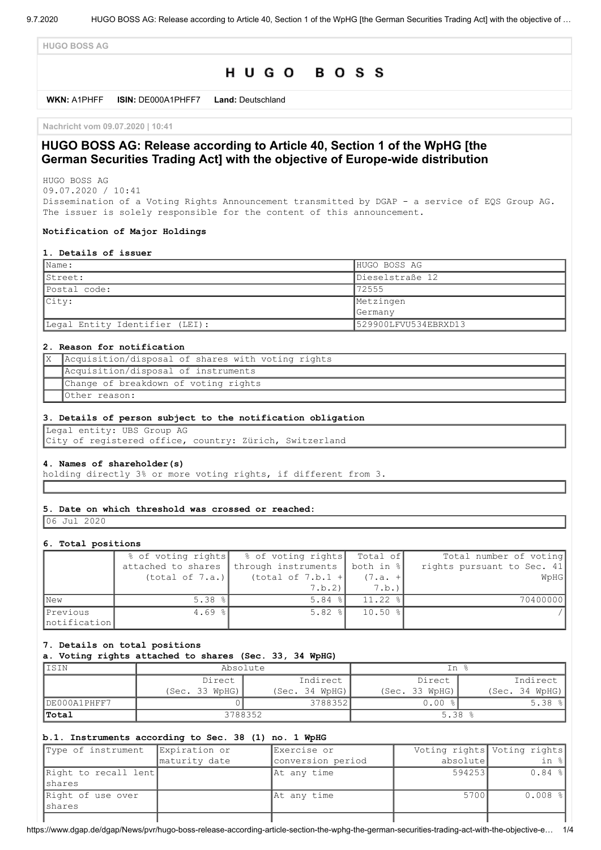**HUGO BOSS AG**

# HUGO BOSS

**WKN:** A1PHFF **ISIN:** DE000A1PHFF7 **Land:** Deutschland

**Nachricht vom 09.07.2020 | 10:41**

# **HUGO BOSS AG: Release according to Article 40, Section 1 of the WpHG [the German Securities Trading Act] with the objective of Europe-wide distribution**

HUGO BOSS AG 09.07.2020 / 10:41

Dissemination of a Voting Rights Announcement transmitted by DGAP - a service of EQS Group AG. The issuer is solely responsible for the content of this announcement.

#### **Notification of Major Holdings**

#### **1. Details of issuer**

| $\blacksquare$ Name:           | HUGO BOSS AG         |
|--------------------------------|----------------------|
| IStreet:                       | Dieselstraße 12      |
| Postal code:                   | 72555                |
| $ $ City:                      | Metzingen            |
|                                | <b>Germany</b>       |
| Legal Entity Identifier (LEI): | 529900LFVU534EBRXD13 |

#### **2. Reason for notification**

| Acquisition/disposal of shares with voting rights |
|---------------------------------------------------|
| Acquisition/disposal of instruments               |
| Change of breakdown of voting rights              |
| Other reason:                                     |

#### **3. Details of person subject to the notification obligation**

Legal entity: UBS Group AG City of registered office, country: Zürich, Switzerland

#### **4. Names of shareholder(s)**

holding directly 3% or more voting rights, if different from 3.

#### **5. Date on which threshold was crossed or reached:**

06 Jul 2020

#### **6. Total positions**

|               |                 | % of voting rights   % of voting rights   Total of  |             | Total number of voting     |
|---------------|-----------------|-----------------------------------------------------|-------------|----------------------------|
|               |                 | attached to shares through instruments both in $\{$ |             | rights pursuant to Sec. 41 |
|               | (total of 7.a.) | (total of $7.b.1 +$                                 | $(7.a. +$   | WpHG                       |
|               |                 | 7.b.2)                                              | 7.b.)       |                            |
| <b>New</b>    | 5.38%           | $5.84$ $ $                                          | $11.22$ $ $ | 70400000                   |
| Previous      | $4.69$ %        | $5.82$ $ $                                          | $10.50$ %   |                            |
| Inotification |                 |                                                     |             |                            |

#### **7. Details on total positions**

#### **a. Voting rights attached to shares (Sec. 33, 34 WpHG)**

| IISIN        | Absolute       |                | In %           |                |
|--------------|----------------|----------------|----------------|----------------|
|              | Direct         | Indirect       | Direct         | Indirect       |
|              | (Sec. 33 WpHG) | (Sec. 34 WPHG) | (Sec. 33 WpHG) | (Sec. 34 WPHG) |
| DE000A1PHFF7 |                | 3788352        | 0.00           | $5.38$ $ $     |
| 'Total       | 3788352        |                | 5.38           |                |

### **b.1. Instruments according to Sec. 38 (1) no. 1 WpHG**

| Type of instrument              | Expiration or | Exercise or       |          | Voting rights Voting rights |
|---------------------------------|---------------|-------------------|----------|-----------------------------|
|                                 | maturity date | conversion period | absolute | in %                        |
| Right to recall lent<br>Ishares |               | At any time       | 594253   | $0.84$ %                    |
| Right of use over<br>Ishares    |               | At any time       | 5700     | $0.008$ %                   |
|                                 |               |                   |          |                             |

https://www.dgap.de/dgap/News/pvr/hugo-boss-release-according-article-section-the-wphg-the-german-securities-trading-act-with-the-objective-e… 1/4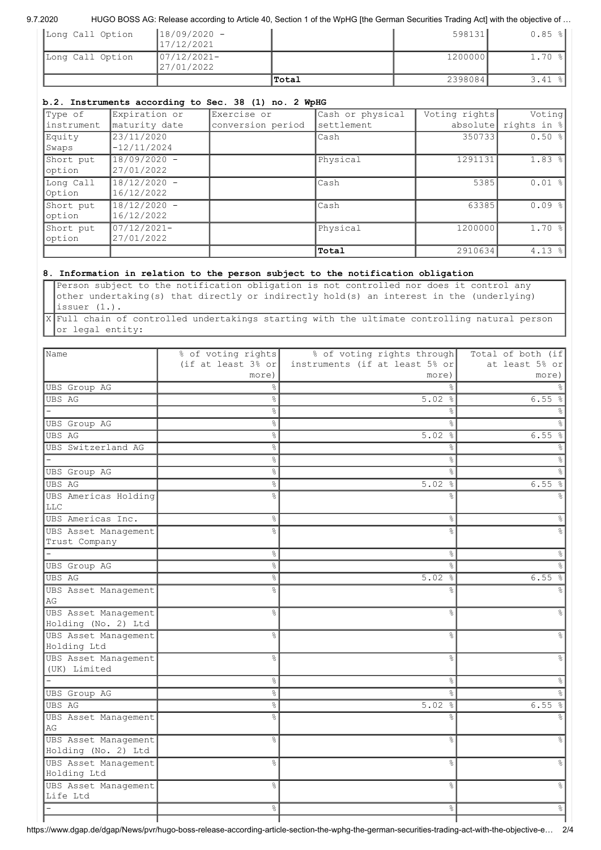#### 9.7.2020 HUGO BOSS AG: Release according to Article 40, Section 1 of the WpHG [the German Securities Trading Act] with the objective of ...

|                  |                               | Total | 2398084 | 3.41                 |
|------------------|-------------------------------|-------|---------|----------------------|
| Long Call Option | $ 07/12/2021 -$<br>27/01/2022 |       | 1200000 | $1.70$ %             |
| Long Call Option | $18/09/2020 -$<br>17/12/2021  |       | 598131  | $0.85$ $\frac{8}{1}$ |

# **b.2. Instruments according to Sec. 38 (1) no. 2 WpHG**

| Type of     | Expiration or | Exercise or       | Cash or physical | Voting rights | Voting      |
|-------------|---------------|-------------------|------------------|---------------|-------------|
| linstrument | maturity date | conversion period | settlement       | absolutel     | rights in % |
| Equity      | 23/11/2020    |                   | lCash            | 350733        | $0.50$ %    |
| Swaps       | $-12/11/2024$ |                   |                  |               |             |
| Short put   | 18/09/2020 -  |                   | Physical         | 1291131       | $1.83$ $ $  |
| option      | 27/01/2022    |                   |                  |               |             |
| Long Call   | 18/12/2020 -  |                   | Cash             | 5385          | $0.01$ %    |
| Option      | 16/12/2022    |                   |                  |               |             |
| Short put   | 18/12/2020 -  |                   | Cash             | 63385         | 0.09%       |
| option      | 16/12/2022    |                   |                  |               |             |
| Short put   | 07/12/2021-   |                   | Physical         | 1200000       | 1.70%       |
| option      | 27/01/2022    |                   |                  |               |             |
|             |               |                   | Total            | 2910634       | $4.13$ %    |

# **8. Information in relation to the person subject to the notification obligation**

Person subject to the notification obligation is not controlled nor does it control any other undertaking(s) that directly or indirectly hold(s) an interest in the (underlying) issuer (1.).

X Full chain of controlled undertakings starting with the ultimate controlling natural person or legal entity:

| Name                                    | % of voting rights             | % of voting rights through     | Total of both (if |
|-----------------------------------------|--------------------------------|--------------------------------|-------------------|
|                                         | (if at least $3\frac{6}{5}$ or | instruments (if at least 5% or | at least 5% or    |
|                                         | more)                          | more)                          | more)             |
| <b>UBS</b> Group AG                     | ℅                              | ⊱                              |                   |
| UBS AG                                  | 옹                              | 5.02%                          | 6.55%             |
|                                         | 옹                              |                                |                   |
| <b>UBS</b> Group AG                     | နွ                             | ⊱                              |                   |
| UBS AG                                  | o <sub>o</sub>                 | 5.02%                          | 6.55%             |
| UBS Switzerland AG                      | o <sub>o</sub>                 | &                              |                   |
|                                         | ٥g                             | &                              |                   |
| UBS Group AG                            | o <sub>o</sub>                 | $\approx$                      |                   |
| UBS AG                                  | ٩,                             | 5.02%                          | 6.55              |
| UBS Americas Holding                    | ٩,                             | ⊱                              |                   |
| <b>LLC</b>                              |                                |                                |                   |
| UBS Americas Inc.                       | 옹                              | $\%$                           |                   |
| UBS Asset Management                    | o<br>R                         | ٩,                             |                   |
| Trust Company                           |                                |                                |                   |
|                                         | 옹                              | $\%$                           |                   |
| UBS Group AG                            | 。<br>8                         | $\frac{1}{2}$                  |                   |
| UBS AG                                  | o <sub>o</sub>                 | 5.02%                          | 6.55              |
| UBS Asset Management                    | ٥Ŗ                             | $\approx$                      |                   |
| AG                                      |                                |                                |                   |
| UBS Asset Management                    | ٩,                             | $\approx$                      |                   |
| Holding (No. 2) Ltd                     |                                |                                |                   |
| UBS Asset Management                    | 옹                              | &                              |                   |
| Holding Ltd                             |                                |                                |                   |
| UBS Asset Management                    | $\frac{6}{5}$                  | $\approx$                      |                   |
| (UK) Limited                            |                                |                                |                   |
|                                         | 옹                              | $\approx$                      |                   |
| <b>UBS</b> Group AG                     | o.                             | ÷,                             |                   |
| <b>UBS AG</b>                           | o,                             | 5.02%                          | 6.55              |
| UBS Asset Management                    | o<br>R                         |                                |                   |
| AG                                      |                                |                                |                   |
| UBS Asset Management                    | $\frac{6}{10}$                 | $\%$                           |                   |
| Holding (No. 2) Ltd                     |                                |                                |                   |
| UBS Asset Management                    | 옹                              | $\%$                           |                   |
| Holding Ltd                             |                                |                                |                   |
| <b>UBS Asset Management</b><br>Life Ltd | o <sub>o</sub>                 | $\frac{6}{5}$                  |                   |
|                                         |                                |                                |                   |
|                                         | e<br>8                         | $\%$                           |                   |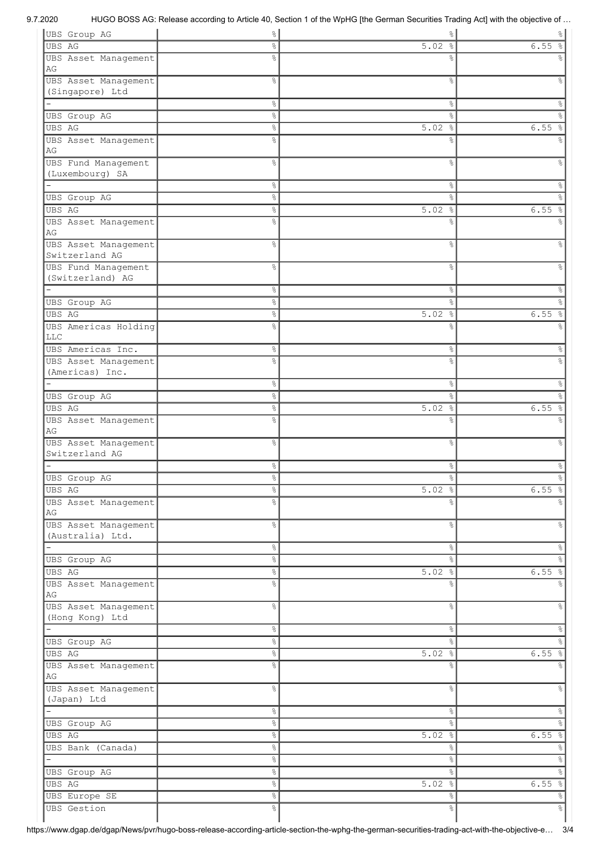| UBS Group AG             | $\frac{1}{6}$  | $\frac{8}{3}$        | $\frac{1}{6}$         |
|--------------------------|----------------|----------------------|-----------------------|
| <b>UBS AG</b>            | 옹              | 5.02%                | 6.55                  |
| UBS Asset Management     | o <sub>o</sub> | ٥Ŗ                   |                       |
| AG                       |                |                      |                       |
| UBS Asset Management     | o.             | &                    |                       |
| (Singapore) Ltd          |                |                      |                       |
|                          | °              | $\frac{8}{6}$        | $\%$                  |
| UBS Group AG             | e <sub>o</sub> | ٩.                   | o,                    |
| <b>UBS AG</b>            | 옹              | $5.02$ %             | 6.55<br>$\frac{6}{6}$ |
| UBS Asset Management     | o <sub>o</sub> | ٩,                   |                       |
| AG                       |                |                      |                       |
| UBS Fund Management      | o <sub>o</sub> | °                    | 옹                     |
| (Luxembourg) SA          |                |                      |                       |
|                          | °              | $\frac{8}{6}$        | &                     |
|                          | o,             | $\%$                 | &                     |
| UBS Group AG             |                |                      |                       |
| UBS AG                   | $\%$           | $5.02$ %             | 6.55<br>$\frac{6}{6}$ |
| UBS Asset Management     | o <sub>o</sub> | &                    | ⊱                     |
| AG                       |                |                      |                       |
| UBS Asset Management     | o.             | °                    | နွ                    |
| Switzerland AG           |                |                      |                       |
| UBS Fund Management      | o <sub>o</sub> | °                    | g                     |
| (Switzerland) AG         |                |                      |                       |
|                          | °              | g.                   | န္                    |
| UBS Group AG             | 옹              | ٩.                   | &                     |
| <b>UBS AG</b>            | 옹              | $5.02$ %             | 6.55<br>$\frac{6}{6}$ |
| UBS Americas Holding     | o<br>R         | ٥Ŗ                   |                       |
| <b>LLC</b>               |                |                      |                       |
| UBS Americas Inc.        | °              | &                    | ိဝ                    |
| UBS Asset Management     | ٥Ŗ             | g                    |                       |
| (Americas) Inc.          |                |                      |                       |
|                          | 옹              | g.                   | န္                    |
| UBS Group AG             | နွ             | ok                   | g                     |
| <b>UBS AG</b>            | 옹              | 5.02%                | 6.55<br>$\frac{6}{5}$ |
| UBS Asset Management     | ⊱              | ٥Ŗ                   |                       |
| AG                       |                |                      |                       |
| UBS Asset Management     | ٥Ŗ             | &                    | ⊱                     |
| Switzerland AG           |                |                      |                       |
|                          | 옹              | °                    | &                     |
|                          | °              | ⊱                    | হ                     |
| UBS Group AG             |                |                      |                       |
| UBS AG                   | °              | $5.02$ %             | $6.55$ $\frac{6}{6}$  |
| UBS Asset Management     | ٩,             | ⊱                    |                       |
| AG                       |                |                      |                       |
| UBS Asset Management     | 옹              | &                    | g.                    |
| (Australia) Ltd.         |                |                      |                       |
| $\overline{\phantom{0}}$ | $\%$           | $\frac{1}{\sqrt{2}}$ | %                     |
| UBS Group AG             | o <sub>o</sub> | $\frac{1}{\sqrt{2}}$ | °                     |
| <b>UBS AG</b>            | $\%$           | $5.02$ %             | 6.55%                 |
| UBS Asset Management     | 옹              | °                    |                       |
| AG                       |                |                      |                       |
| UBS Asset Management     | o <sub>o</sub> | $\%$                 | နွ                    |
| (Hong Kong) Ltd          |                |                      |                       |
|                          | $\%$           | $\frac{1}{\sqrt{2}}$ | %                     |
| <b>UBS</b> Group AG      | $\%$           | $\frac{8}{6}$        | $\frac{8}{6}$         |
| <b>UBS AG</b>            | $\%$           | $5.02$ %             | 6.55%                 |
| UBS Asset Management     | o,             | g.                   | g.                    |
| AG                       |                |                      |                       |
| UBS Asset Management     | 옹              | °                    | န္                    |
| (Japan) Ltd              |                |                      |                       |
|                          | $\%$           | g.                   | &                     |
| UBS Group AG             | $\%$           | $\frac{8}{3}$        | g.                    |
| UBS AG                   | $\%$           | 5.02%                | 6.55%                 |
| UBS Bank (Canada)        | $\%$           | $\%$                 | %                     |
|                          |                |                      |                       |
|                          | °              | °                    | %                     |
| UBS Group AG             | °              | $\frac{8}{3}$        | %                     |
| UBS AG                   | °              | $5.02$ %             | 6.55%                 |
| UBS Europe SE            | °              | °                    | %                     |
| <b>UBS</b> Gestion       | 옹              | °                    | $\frac{1}{6}$         |
|                          |                |                      |                       |